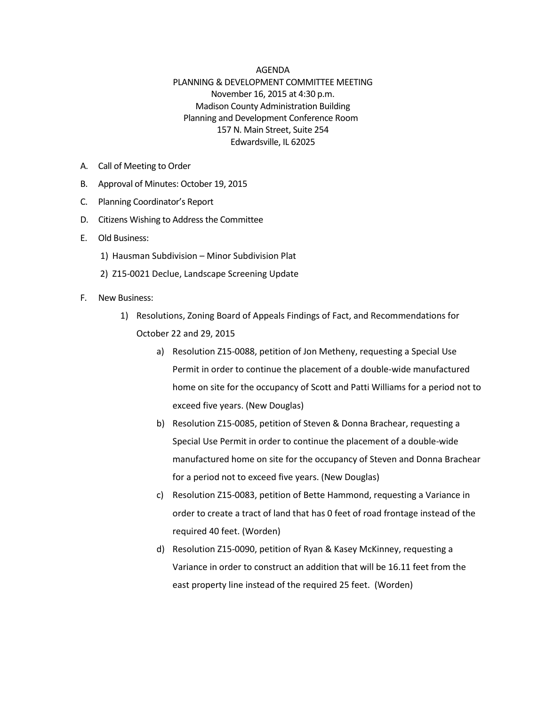## AGENDA

## PLANNING & DEVELOPMENT COMMITTEE MEETING November 16, 2015 at 4:30 p.m. Madison County Administration Building Planning and Development Conference Room 157 N. Main Street, Suite 254 Edwardsville, IL 62025

- A. Call of Meeting to Order
- B. Approval of Minutes: October 19, 2015
- C. Planning Coordinator's Report
- D. Citizens Wishing to Address the Committee
- E. Old Business:
	- 1) Hausman Subdivision Minor Subdivision Plat
	- 2) Z15-0021 Declue, Landscape Screening Update
- F. New Business:
	- 1) Resolutions, Zoning Board of Appeals Findings of Fact, and Recommendations for October 22 and 29, 2015
		- a) Resolution Z15-0088, petition of Jon Metheny, requesting a Special Use Permit in order to continue the placement of a double-wide manufactured home on site for the occupancy of Scott and Patti Williams for a period not to exceed five years. (New Douglas)
		- b) Resolution Z15-0085, petition of Steven & Donna Brachear, requesting a Special Use Permit in order to continue the placement of a double-wide manufactured home on site for the occupancy of Steven and Donna Brachear for a period not to exceed five years. (New Douglas)
		- c) Resolution Z15-0083, petition of Bette Hammond, requesting a Variance in order to create a tract of land that has 0 feet of road frontage instead of the required 40 feet. (Worden)
		- d) Resolution Z15-0090, petition of Ryan & Kasey McKinney, requesting a Variance in order to construct an addition that will be 16.11 feet from the east property line instead of the required 25 feet. (Worden)